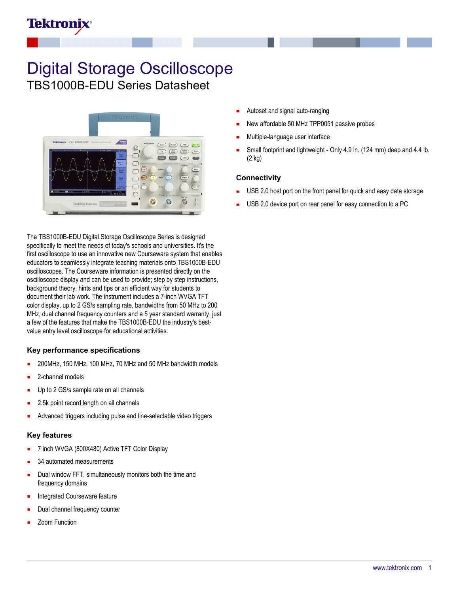# **Tektronix**

# Digital Storage Oscilloscope TBS1000B-EDU Series Datasheet



The TBS1000B-EDU Digital Storage Oscilloscope Series is designed specifically to meet the needs of today's schools and universities. It's the first oscilloscope to use an innovative new Courseware system that enables educators to seamlessly integrate teaching materials onto TBS1000B-EDU oscilloscopes. The Courseware information is presented directly on the oscilloscope display and can be used to provide; step by step instructions, background theory, hints and tips or an efficient way for students to document their lab work. The instrument includes a 7-inch WVGA TFT color display, up to 2 GS/s sampling rate, bandwidths from 50 MHz to 200 MHz, dual channel frequency counters and a 5 year standard warranty, just a few of the features that make the TBS1000B-EDU the industry's bestvalue entry level oscilloscope for educational activities.

#### **Key performance specifications**

- 200MHz, 150 MHz, 100 MHz, 70 MHz and 50 MHz bandwidth models
- 2-channel models
- Up to 2 GS/s sample rate on all channels
- 2.5k point record length on all channels
- Advanced triggers including pulse and line-selectable video triggers

#### **Key features**

- 7 inch WVGA (800X480) Active TFT Color Display
- 34 automated measurements
- Dual window FFT, simultaneously monitors both the time and frequency domains
- Integrated Courseware feature
- Dual channel frequency counter
- Zoom Function
- Autoset and signal auto-ranging
- New affordable 50 MHz TPP0051 passive probes
- Multiple-language user interface
- Small footprint and lightweight Only 4.9 in. (124 mm) deep and 4.4 lb. (2 kg)

#### **Connectivity**

- USB 2.0 host port on the front panel for quick and easy data storage
- USB 2.0 device port on rear panel for easy connection to a PC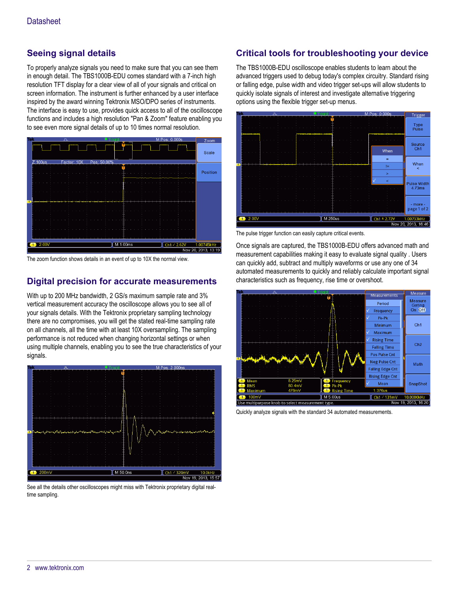## **Seeing signal details**

To properly analyze signals you need to make sure that you can see them in enough detail. The TBS1000B-EDU comes standard with a 7-inch high resolution TFT display for a clear view of all of your signals and critical on screen information. The instrument is further enhanced by a user interface inspired by the award winning Tektronix MSO/DPO series of instruments. The interface is easy to use, provides quick access to all of the oscilloscope functions and includes a high resolution "Pan & Zoom" feature enabling you to see even more signal details of up to 10 times normal resolution.



The zoom function shows details in an event of up to 10X the normal view.

## **Digital precision for accurate measurements**

With up to 200 MHz bandwidth, 2 GS/s maximum sample rate and 3% vertical measurement accuracy the oscilloscope allows you to see all of your signals details. With the Tektronix proprietary sampling technology there are no compromises, you will get the stated real-time sampling rate on all channels, all the time with at least 10X oversampling. The sampling performance is not reduced when changing horizontal settings or when using multiple channels, enabling you to see the true characteristics of your signals.



See all the details other oscilloscopes might miss with Tektronix proprietary digital realtime sampling.

# **Critical tools for troubleshooting your device**

The TBS1000B-EDU oscilloscope enables students to learn about the advanced triggers used to debug today's complex circuitry. Standard rising or falling edge, pulse width and video trigger set-ups will allow students to quickly isolate signals of interest and investigate alternative triggering options using the flexible trigger set-up menus.



The pulse trigger function can easily capture critical events.

Once signals are captured, the TBS1000B-EDU offers advanced math and measurement capabilities making it easy to evaluate signal quality . Users can quickly add, subtract and multiply waveforms or use any one of 34 automated measurements to quickly and reliably calculate important signal characteristics such as frequency, rise time or overshoot.



Quickly analyze signals with the standard 34 automated measurements.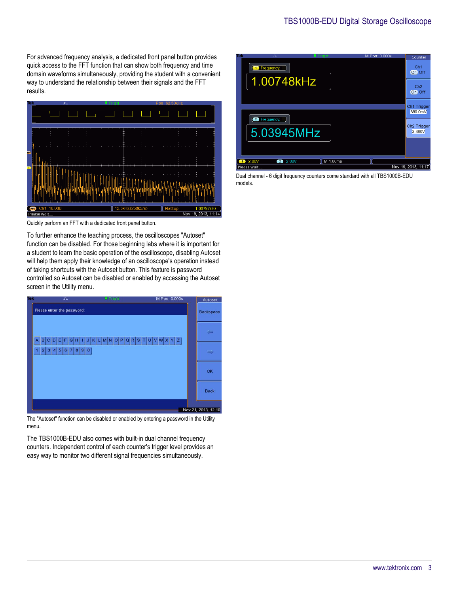For advanced frequency analysis, a dedicated front panel button provides quick access to the FFT function that can show both frequency and time domain waveforms simultaneously, providing the student with a convenient way to understand the relationship between their signals and the FFT results.



Quickly perform an FFT with a dedicated front panel button.

To further enhance the teaching process, the oscilloscopes "Autoset" function can be disabled. For those beginning labs where it is important for a student to learn the basic operation of the oscilloscope, disabling Autoset will help them apply their knowledge of an oscilloscope's operation instead of taking shortcuts with the Autoset button. This feature is password controlled so Autoset can be disabled or enabled by accessing the Autoset screen in the Utility menu.



The "Autoset" function can be disabled or enabled by entering a password in the Utility menu.

The TBS1000B-EDU also comes with built-in dual channel frequency counters. Independent control of each counter's trigger level provides an easy way to monitor two different signal frequencies simultaneously.



Dual channel - 6 digit frequency counters come standard with all TBS1000B-EDU models.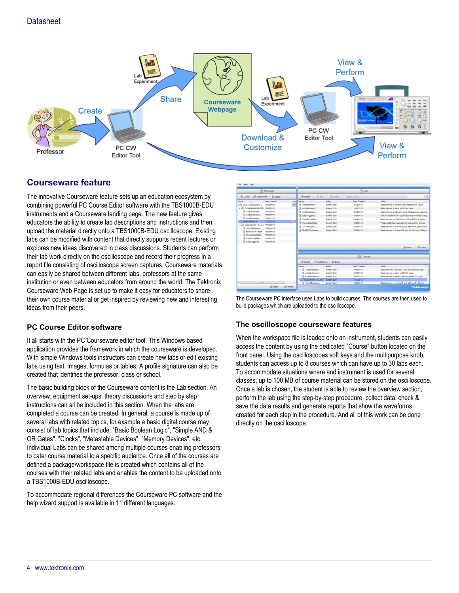

## **Courseware feature**

The innovative Courseware feature sets up an education ecosystem by combining powerful PC Course Editor software with the TBS1000B-EDU instruments and a Courseware landing page. The new feature gives educators the ability to create lab descriptions and instructions and then upload the material directly onto a TBS1000B-EDU oscilloscope. Existing labs can be modified with content that directly supports recent lectures or explores new ideas discovered in class discussions. Students can perform their lab work directly on the oscilloscope and record their progress in a report file consisting of oscilloscope screen captures. Courseware materials can easily be shared between different labs, professors at the same institution or even between educators from around the world. The Tektronix Courseware Web Page is set up to make it easy for educators to share their own course material or get inspired by reviewing new and interesting ideas from their peers.

## **PC Course Editor software**

It all starts with the PC Courseware editor tool. This Windows based application provides the framework in which the courseware is developed. With simple Windows tools instructors can create new labs or edit existing labs using text, images, formulas or tables. A profile signature can also be created that identifies the professor, class or school.

The basic building block of the Courseware content is the Lab section. An overview, equipment set-ups, theory discussions and step by step instructions can all be included in this section. When the labs are completed a course can be created. In general, a course is made up of several labs with related topics, for example a basic digital course may consist of lab topics that include; "Basic Boolean Logic", "Simple AND & OR Gates", "Clocks", "Metastable Devices", "Memory Devices", etc. Individual Labs can be shared among multiple courses enabling professors to cater course material to a specific audience. Once all of the courses are defined a package/workspace file is created which contains all of the courses with their related labs and enables the content to be uploaded onto a TBS1000B-EDU oscilloscope.

To accommodate regional differences the Courseware PC software and the help wizard support is available in 11 different languages.

| <b>Create</b><br>A Kat<br>@ AddRemove<br><dr create<br="">30 Dalaba<br/>X Delete<br/>T : Export as PDF<br/>Size Name<br/><b>Date Created</b><br/><b>Author</b><br/><b>Notes</b><br/>Date Created<br/>Amplitudebleas1<br/>Measurement of Min and Max amplitude of a signal<br/><b>Mukesh Soni</b><br/>10/08/2013<br/>10/08/2013<br/>- ScopeTutonalWithAFG<br/>10/08/2013<br/>Measurement of Mean and PX-PX value<br/>AmplifixdeMeas2<br/>Mukesh Soni<br/>10/08/2013<br/>AmplifudeMeas3<br/>а<br/>10/08/2013<br/>AmplificdeMeas3<br/>Mukesh Soni<br/>10082013<br/>AmplifudeMeas2<br/>10/08/2013<br/>EdgeTriggering<br/>Mukesh Soni<br/>10/24/2013<br/>Signal acquisition and triggering of signal based on sig.<br/>л<br/>AmplifludeMeas1<br/>10/08/2013<br/>Mukesh Soni<br/>PeriodFreqMeas<br/>10/24/2013<br/>Measurement of PERIOD and FREQUENCY of a given<br/>11/21/2013<br/><b>PhaseDelasMeas</b><br/><b>Mukesh Soni</b><br/>10/24/2013<br/>Phase and Delay measurement between two signals<br/>- Ill Measurement - 51.abs<br/>11/21/2013<br/><b>TonToffDut/Meas</b><br/>Mukesh Soni<br/>10/24/2013<br/>Measurement of on-time (T_on), off-time (T_off) and dut.<br/>TonToffDutyMeas<br/>10/24/2013<br/>RiseFalTimeMeas<br/><b>Mukesh Soni</b><br/>10/24/2013<br/>Measurement of rise and fall time for the rising / falling<br/>RiseFallTimeMeas<br/>10/24/2013<br/><b>PhaseDelaiMeas</b><br/>10/24/2013<br/>PeriodFreatMeas<br/>10/24/2013<br/>EdgeTriggering<br/>10/24/2013<br/>E2 Import<br/><b>ISF</b> Export<br/>Course<br/>@ AddRemove<br/>X Delete<br/><dr create<br="">Author<br/>Date Created<br/>Notes<br/>Name<br/>AmplitudeMeas3<br/><b>Mukesh Soni</b><br/>Measurement of RMS and Cycle RMS value for captu.<br/>10/08/2013<br/>AmplitudeMeas2<br/>Mulash Soni<br/>Measurement of Mean and Px-Pk value<br/>10/08/2013<br/>AmplitudeMeas1<br/>Mukesh Soni<br/>10/08/2013<br/>Measurement of Min and Max amplitude of a signal<br/>Measurement - 5 Labs<br/>Mullesh Soni<br/>11/21/2013<br/>×<br/><math>\overline{a}</math><br/>Measurement of on-time (T_on), off-time (T_off) and<br/><b>TonToffDutyMeas</b><br/>Mukesh Soni<br/>10/24/2013</dr></dr> | Package | <b>PILab</b> |  |  |                                                      |
|------------------------------------------------------------------------------------------------------------------------------------------------------------------------------------------------------------------------------------------------------------------------------------------------------------------------------------------------------------------------------------------------------------------------------------------------------------------------------------------------------------------------------------------------------------------------------------------------------------------------------------------------------------------------------------------------------------------------------------------------------------------------------------------------------------------------------------------------------------------------------------------------------------------------------------------------------------------------------------------------------------------------------------------------------------------------------------------------------------------------------------------------------------------------------------------------------------------------------------------------------------------------------------------------------------------------------------------------------------------------------------------------------------------------------------------------------------------------------------------------------------------------------------------------------------------------------------------------------------------------------------------------------------------------------------------------------------------------------------------------------------------------------------------------------------------------------------------------------------------------------------------------------------------------------------------------------------------------------------------------------------------------------------------------------------------------------------------------------------------------------------------------------------------------|---------|--------------|--|--|------------------------------------------------------|
| Name                                                                                                                                                                                                                                                                                                                                                                                                                                                                                                                                                                                                                                                                                                                                                                                                                                                                                                                                                                                                                                                                                                                                                                                                                                                                                                                                                                                                                                                                                                                                                                                                                                                                                                                                                                                                                                                                                                                                                                                                                                                                                                                                                                   |         |              |  |  | $\alpha$                                             |
| . Il ScopeTutotalWithAFG<br><b>A MEASUREMENT</b><br>$\leftarrow$                                                                                                                                                                                                                                                                                                                                                                                                                                                                                                                                                                                                                                                                                                                                                                                                                                                                                                                                                                                                                                                                                                                                                                                                                                                                                                                                                                                                                                                                                                                                                                                                                                                                                                                                                                                                                                                                                                                                                                                                                                                                                                       |         |              |  |  |                                                      |
|                                                                                                                                                                                                                                                                                                                                                                                                                                                                                                                                                                                                                                                                                                                                                                                                                                                                                                                                                                                                                                                                                                                                                                                                                                                                                                                                                                                                                                                                                                                                                                                                                                                                                                                                                                                                                                                                                                                                                                                                                                                                                                                                                                        |         |              |  |  |                                                      |
|                                                                                                                                                                                                                                                                                                                                                                                                                                                                                                                                                                                                                                                                                                                                                                                                                                                                                                                                                                                                                                                                                                                                                                                                                                                                                                                                                                                                                                                                                                                                                                                                                                                                                                                                                                                                                                                                                                                                                                                                                                                                                                                                                                        |         |              |  |  |                                                      |
|                                                                                                                                                                                                                                                                                                                                                                                                                                                                                                                                                                                                                                                                                                                                                                                                                                                                                                                                                                                                                                                                                                                                                                                                                                                                                                                                                                                                                                                                                                                                                                                                                                                                                                                                                                                                                                                                                                                                                                                                                                                                                                                                                                        |         |              |  |  | Measurement of RMS and Cycle RMS value for captured. |
|                                                                                                                                                                                                                                                                                                                                                                                                                                                                                                                                                                                                                                                                                                                                                                                                                                                                                                                                                                                                                                                                                                                                                                                                                                                                                                                                                                                                                                                                                                                                                                                                                                                                                                                                                                                                                                                                                                                                                                                                                                                                                                                                                                        |         |              |  |  |                                                      |
|                                                                                                                                                                                                                                                                                                                                                                                                                                                                                                                                                                                                                                                                                                                                                                                                                                                                                                                                                                                                                                                                                                                                                                                                                                                                                                                                                                                                                                                                                                                                                                                                                                                                                                                                                                                                                                                                                                                                                                                                                                                                                                                                                                        |         |              |  |  |                                                      |
|                                                                                                                                                                                                                                                                                                                                                                                                                                                                                                                                                                                                                                                                                                                                                                                                                                                                                                                                                                                                                                                                                                                                                                                                                                                                                                                                                                                                                                                                                                                                                                                                                                                                                                                                                                                                                                                                                                                                                                                                                                                                                                                                                                        |         |              |  |  |                                                      |
|                                                                                                                                                                                                                                                                                                                                                                                                                                                                                                                                                                                                                                                                                                                                                                                                                                                                                                                                                                                                                                                                                                                                                                                                                                                                                                                                                                                                                                                                                                                                                                                                                                                                                                                                                                                                                                                                                                                                                                                                                                                                                                                                                                        |         |              |  |  |                                                      |
|                                                                                                                                                                                                                                                                                                                                                                                                                                                                                                                                                                                                                                                                                                                                                                                                                                                                                                                                                                                                                                                                                                                                                                                                                                                                                                                                                                                                                                                                                                                                                                                                                                                                                                                                                                                                                                                                                                                                                                                                                                                                                                                                                                        |         |              |  |  |                                                      |
|                                                                                                                                                                                                                                                                                                                                                                                                                                                                                                                                                                                                                                                                                                                                                                                                                                                                                                                                                                                                                                                                                                                                                                                                                                                                                                                                                                                                                                                                                                                                                                                                                                                                                                                                                                                                                                                                                                                                                                                                                                                                                                                                                                        |         |              |  |  |                                                      |
|                                                                                                                                                                                                                                                                                                                                                                                                                                                                                                                                                                                                                                                                                                                                                                                                                                                                                                                                                                                                                                                                                                                                                                                                                                                                                                                                                                                                                                                                                                                                                                                                                                                                                                                                                                                                                                                                                                                                                                                                                                                                                                                                                                        |         |              |  |  |                                                      |
|                                                                                                                                                                                                                                                                                                                                                                                                                                                                                                                                                                                                                                                                                                                                                                                                                                                                                                                                                                                                                                                                                                                                                                                                                                                                                                                                                                                                                                                                                                                                                                                                                                                                                                                                                                                                                                                                                                                                                                                                                                                                                                                                                                        |         |              |  |  |                                                      |
|                                                                                                                                                                                                                                                                                                                                                                                                                                                                                                                                                                                                                                                                                                                                                                                                                                                                                                                                                                                                                                                                                                                                                                                                                                                                                                                                                                                                                                                                                                                                                                                                                                                                                                                                                                                                                                                                                                                                                                                                                                                                                                                                                                        |         |              |  |  |                                                      |
|                                                                                                                                                                                                                                                                                                                                                                                                                                                                                                                                                                                                                                                                                                                                                                                                                                                                                                                                                                                                                                                                                                                                                                                                                                                                                                                                                                                                                                                                                                                                                                                                                                                                                                                                                                                                                                                                                                                                                                                                                                                                                                                                                                        |         |              |  |  |                                                      |
|                                                                                                                                                                                                                                                                                                                                                                                                                                                                                                                                                                                                                                                                                                                                                                                                                                                                                                                                                                                                                                                                                                                                                                                                                                                                                                                                                                                                                                                                                                                                                                                                                                                                                                                                                                                                                                                                                                                                                                                                                                                                                                                                                                        |         |              |  |  |                                                      |
|                                                                                                                                                                                                                                                                                                                                                                                                                                                                                                                                                                                                                                                                                                                                                                                                                                                                                                                                                                                                                                                                                                                                                                                                                                                                                                                                                                                                                                                                                                                                                                                                                                                                                                                                                                                                                                                                                                                                                                                                                                                                                                                                                                        |         |              |  |  |                                                      |
|                                                                                                                                                                                                                                                                                                                                                                                                                                                                                                                                                                                                                                                                                                                                                                                                                                                                                                                                                                                                                                                                                                                                                                                                                                                                                                                                                                                                                                                                                                                                                                                                                                                                                                                                                                                                                                                                                                                                                                                                                                                                                                                                                                        |         |              |  |  |                                                      |
|                                                                                                                                                                                                                                                                                                                                                                                                                                                                                                                                                                                                                                                                                                                                                                                                                                                                                                                                                                                                                                                                                                                                                                                                                                                                                                                                                                                                                                                                                                                                                                                                                                                                                                                                                                                                                                                                                                                                                                                                                                                                                                                                                                        |         |              |  |  |                                                      |
|                                                                                                                                                                                                                                                                                                                                                                                                                                                                                                                                                                                                                                                                                                                                                                                                                                                                                                                                                                                                                                                                                                                                                                                                                                                                                                                                                                                                                                                                                                                                                                                                                                                                                                                                                                                                                                                                                                                                                                                                                                                                                                                                                                        |         |              |  |  |                                                      |
|                                                                                                                                                                                                                                                                                                                                                                                                                                                                                                                                                                                                                                                                                                                                                                                                                                                                                                                                                                                                                                                                                                                                                                                                                                                                                                                                                                                                                                                                                                                                                                                                                                                                                                                                                                                                                                                                                                                                                                                                                                                                                                                                                                        |         |              |  |  |                                                      |
|                                                                                                                                                                                                                                                                                                                                                                                                                                                                                                                                                                                                                                                                                                                                                                                                                                                                                                                                                                                                                                                                                                                                                                                                                                                                                                                                                                                                                                                                                                                                                                                                                                                                                                                                                                                                                                                                                                                                                                                                                                                                                                                                                                        |         |              |  |  |                                                      |
|                                                                                                                                                                                                                                                                                                                                                                                                                                                                                                                                                                                                                                                                                                                                                                                                                                                                                                                                                                                                                                                                                                                                                                                                                                                                                                                                                                                                                                                                                                                                                                                                                                                                                                                                                                                                                                                                                                                                                                                                                                                                                                                                                                        |         |              |  |  |                                                      |
|                                                                                                                                                                                                                                                                                                                                                                                                                                                                                                                                                                                                                                                                                                                                                                                                                                                                                                                                                                                                                                                                                                                                                                                                                                                                                                                                                                                                                                                                                                                                                                                                                                                                                                                                                                                                                                                                                                                                                                                                                                                                                                                                                                        |         |              |  |  |                                                      |

The Courseware PC interface uses Labs to build courses. The courses are then used to build packages which are uploaded to the oscilloscope.

#### **The oscilloscope courseware features**

When the workspace file is loaded onto an instrument, students can easily access the content by using the dedicated "Course" button located on the front panel. Using the oscilloscopes soft keys and the multipurpose knob, students can access up to 8 courses which can have up to 30 labs each. To accommodate situations where and instrument is used for several classes, up to 100 MB of course material can be stored on the oscilloscope. Once a lab is chosen, the student is able to review the overview section, perform the lab using the step-by-step procedure, collect data, check & save the data results and generate reports that show the waveforms created for each step in the procedure. And all of this work can be done directly on the oscilloscope.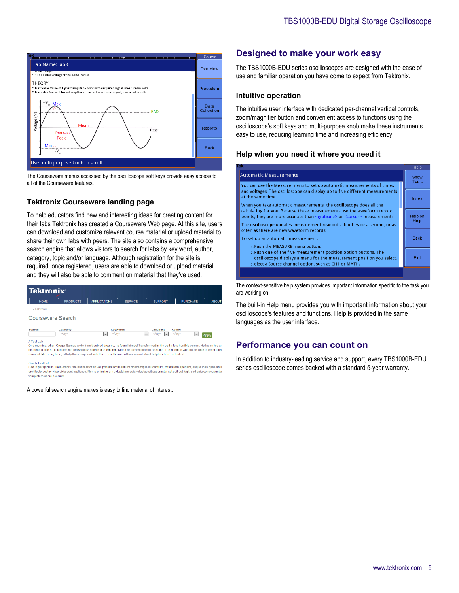

The Courseware menus accessed by the oscilloscope soft keys provide easy access to all of the Courseware features.

#### **Tektronix Courseware landing page**

To help educators find new and interesting ideas for creating content for their labs Tektronix has created a Courseware Web page. At this site, users can download and customize relevant course material or upload material to share their own labs with peers. The site also contains a comprehensive search engine that allows visitors to search for labs by key word, author, category, topic and/or language. Although registration for the site is required, once registered, users are able to download or upload material and they will also be able to comment on material that they've used.



Sed ut perspiciatis unde omnis iste natus error sit voluptatem accusantium doloremque laudantium, totam rem aperiam, eaque ipsa quae ab il experience and the distance of the control of the computation decomments concerning a decembent product of the<br>architecto beatae vitae dicta sunt explicable. Nemo enim ipsam voluptatem quia voluptas sit aspernatur aut odit

A powerful search engine makes is easy to find material of interest.

## **Designed to make your work easy**

The TBS1000B-EDU series oscilloscopes are designed with the ease of use and familiar operation you have come to expect from Tektronix.

#### **Intuitive operation**

The intuitive user interface with dedicated per-channel vertical controls, zoom/magnifier button and convenient access to functions using the oscilloscope's soft keys and multi-purpose knob make these instruments easy to use, reducing learning time and increasing efficiency.

#### **Help when you need it where you need it**



The context-sensitive help system provides important information specific to the task you are working on.

The built-in Help menu provides you with important information about your oscilloscope's features and functions. Help is provided in the same languages as the user interface.

## **Performance you can count on**

In addition to industry-leading service and support, every TBS1000B-EDU series oscilloscope comes backed with a standard 5-year warranty.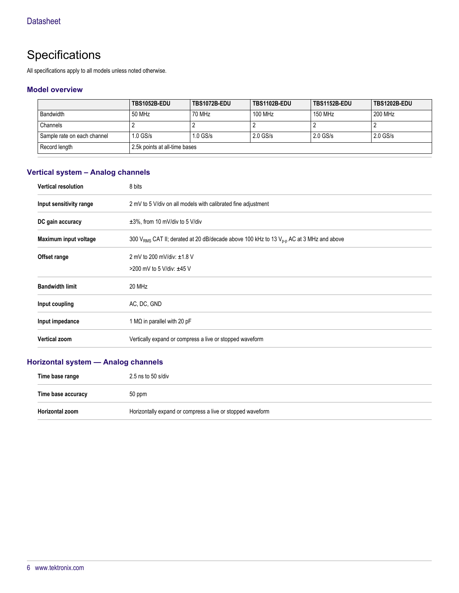# **Specifications**

All specifications apply to all models unless noted otherwise.

#### **Model overview**

|                             | TBS1052B-EDU                  | TBS1072B-EDU | TBS1102B-EDU | <b>TBS1152B-EDU</b> | <b>TBS1202B-EDU</b> |
|-----------------------------|-------------------------------|--------------|--------------|---------------------|---------------------|
| <b>Bandwidth</b>            | 50 MHz                        | 70 MHz       | 100 MHz      | 150 MHz             | 200 MHz             |
| Channels                    | <u>.</u>                      |              |              |                     |                     |
| Sample rate on each channel | $1.0$ GS/s                    | $1.0$ GS/s   | $2.0$ GS/s   | $2.0$ GS/s          | $2.0$ GS/s          |
| Record length               | 2.5k points at all-time bases |              |              |                     |                     |

## **Vertical system – Analog channels**

| <b>Vertical resolution</b> | 8 bits                                                                                                          |
|----------------------------|-----------------------------------------------------------------------------------------------------------------|
| Input sensitivity range    | 2 mV to 5 V/div on all models with calibrated fine adjustment                                                   |
| DC gain accuracy           | $\pm 3\%$ , from 10 mV/div to 5 V/div                                                                           |
| Maximum input voltage      | 300 V <sub>RMS</sub> CAT II; derated at 20 dB/decade above 100 kHz to 13 V <sub>p-p</sub> AC at 3 MHz and above |
| Offset range               | 2 mV to 200 mV/div: ±1.8 V                                                                                      |
|                            | >200 mV to 5 V/div: ±45 V                                                                                       |
| <b>Bandwidth limit</b>     | 20 MHz                                                                                                          |
| Input coupling             | AC, DC, GND                                                                                                     |
| Input impedance            | 1 M $\Omega$ in parallel with 20 pF                                                                             |
| <b>Vertical zoom</b>       | Vertically expand or compress a live or stopped waveform                                                        |

## **Horizontal system — Analog channels**

| Time base range    | $2.5$ ns to 50 s/div                                       |
|--------------------|------------------------------------------------------------|
| Time base accuracy | 50 ppm                                                     |
| Horizontal zoom    | Horizontally expand or compress a live or stopped waveform |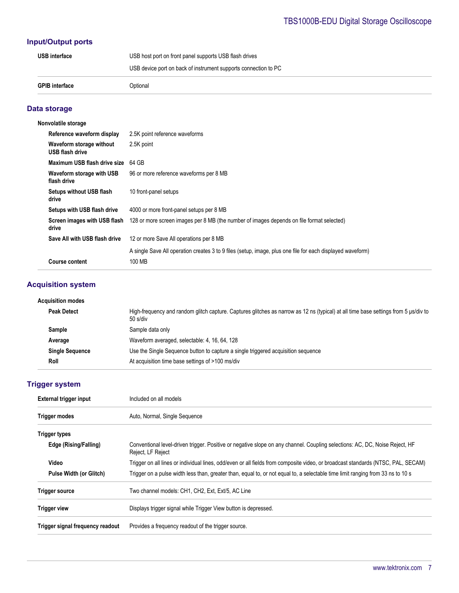## **Input/Output ports**

| <b>GPIB interface</b> | Optional                                                        |
|-----------------------|-----------------------------------------------------------------|
|                       | USB device port on back of instrument supports connection to PC |
| <b>USB</b> interface  | USB host port on front panel supports USB flash drives          |

## **Data storage**

| Nonvolatile storage                         |                                                                                                                      |
|---------------------------------------------|----------------------------------------------------------------------------------------------------------------------|
| Reference waveform display                  | 2.5K point reference waveforms                                                                                       |
| Waveform storage without<br>USB flash drive | 2.5K point                                                                                                           |
| Maximum USB flash drive size                | 64 GB                                                                                                                |
| Waveform storage with USB<br>flash drive    | 96 or more reference waveforms per 8 MB                                                                              |
| <b>Setups without USB flash</b><br>drive    | 10 front-panel setups                                                                                                |
| Setups with USB flash drive                 | 4000 or more front-panel setups per 8 MB                                                                             |
| Screen images with USB flash<br>drive       | 128 or more screen images per 8 MB (the number of images depends on file format selected)                            |
| Save All with USB flash drive               | 12 or more Save All operations per 8 MB                                                                              |
| <b>Course content</b>                       | A single Save All operation creates 3 to 9 files (setup, image, plus one file for each displayed waveform)<br>100 MB |

## **Acquisition system**

| Acquisition modes      |                                                                                                                                                 |
|------------------------|-------------------------------------------------------------------------------------------------------------------------------------------------|
| <b>Peak Detect</b>     | High-frequency and random glitch capture. Captures glitches as narrow as 12 ns (typical) at all time base settings from 5 us/div to<br>50 s/div |
| Sample                 | Sample data only                                                                                                                                |
| Average                | Waveform averaged, selectable: 4, 16, 64, 128                                                                                                   |
| <b>Single Sequence</b> | Use the Single Sequence button to capture a single triggered acquisition sequence                                                               |
| Roll                   | At acquisition time base settings of >100 ms/div                                                                                                |

# **Trigger system**

| External trigger input           | Included on all models                                                                                                                           |  |  |  |
|----------------------------------|--------------------------------------------------------------------------------------------------------------------------------------------------|--|--|--|
| <b>Trigger modes</b>             | Auto, Normal, Single Sequence                                                                                                                    |  |  |  |
| <b>Trigger types</b>             |                                                                                                                                                  |  |  |  |
| Edge (Rising/Falling)            | Conventional level-driven trigger. Positive or negative slope on any channel. Coupling selections: AC, DC, Noise Reject, HF<br>Reject, LF Reject |  |  |  |
| Video                            | Trigger on all lines or individual lines, odd/even or all fields from composite video, or broadcast standards (NTSC, PAL, SECAM)                 |  |  |  |
| <b>Pulse Width (or Glitch)</b>   | Trigger on a pulse width less than, greater than, equal to, or not equal to, a selectable time limit ranging from 33 ns to 10 s                  |  |  |  |
| <b>Trigger source</b>            | Two channel models: CH1, CH2, Ext, Ext/5, AC Line                                                                                                |  |  |  |
| <b>Trigger view</b>              | Displays trigger signal while Trigger View button is depressed.                                                                                  |  |  |  |
| Trigger signal frequency readout | Provides a frequency readout of the trigger source.                                                                                              |  |  |  |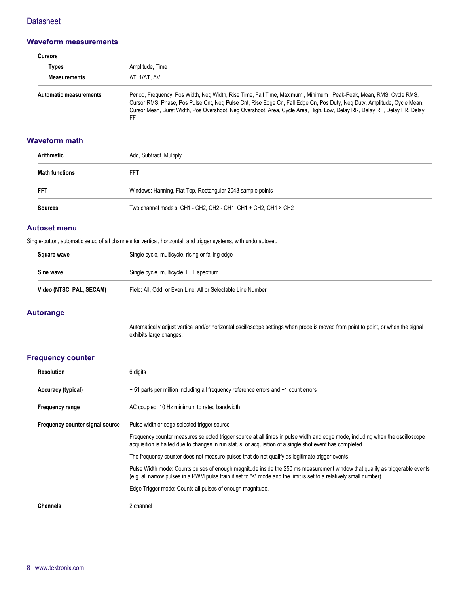## **Datasheet**

#### **Waveform measurements**

| Cursors                       |                                                                                                                                                                                                                                                                                                                                                                                |  |
|-------------------------------|--------------------------------------------------------------------------------------------------------------------------------------------------------------------------------------------------------------------------------------------------------------------------------------------------------------------------------------------------------------------------------|--|
| Types                         | Amplitude, Time                                                                                                                                                                                                                                                                                                                                                                |  |
| <b>Measurements</b>           | ΔΤ. 1/ΔΤ. ΔV                                                                                                                                                                                                                                                                                                                                                                   |  |
| <b>Automatic measurements</b> | Period, Frequency, Pos Width, Neg Width, Rise Time, Fall Time, Maximum, Minimum, Peak-Peak, Mean, RMS, Cycle RMS,<br>Cursor RMS, Phase, Pos Pulse Cnt, Neg Pulse Cnt, Rise Edge Cn, Fall Edge Cn, Pos Duty, Neg Duty, Amplitude, Cycle Mean,<br>Cursor Mean, Burst Width, Pos Overshoot, Neg Overshoot, Area, Cycle Area, High, Low, Delay RR, Delay RF, Delay FR, Delay<br>FF |  |

### **Waveform math**

| Arithmetic     | Add, Subtract, Multiply                                        |
|----------------|----------------------------------------------------------------|
| Math functions | FFT                                                            |
| <b>FFT</b>     | Windows: Hanning, Flat Top, Rectangular 2048 sample points     |
| Sources        | Two channel models: CH1 - CH2, CH2 - CH1, CH1 + CH2, CH1 × CH2 |

#### **Autoset menu**

Single-button, automatic setup of all channels for vertical, horizontal, and trigger systems, with undo autoset.

| Square wave              | Single cycle, multicycle, rising or falling edge             |
|--------------------------|--------------------------------------------------------------|
| Sine wave                | Single cycle, multicycle, FFT spectrum                       |
| Video (NTSC, PAL, SECAM) | Field: All, Odd, or Even Line: All or Selectable Line Number |

### **Autorange**

Automatically adjust vertical and/or horizontal oscilloscope settings when probe is moved from point to point, or when the signal exhibits large changes.

#### **Frequency counter**

| <b>Resolution</b>               | 6 digits                                                                                                                                                                                                                                           |
|---------------------------------|----------------------------------------------------------------------------------------------------------------------------------------------------------------------------------------------------------------------------------------------------|
| Accuracy (typical)              | + 51 parts per million including all frequency reference errors and +1 count errors                                                                                                                                                                |
| <b>Frequency range</b>          | AC coupled, 10 Hz minimum to rated bandwidth                                                                                                                                                                                                       |
| Frequency counter signal source | Pulse width or edge selected trigger source                                                                                                                                                                                                        |
|                                 | Frequency counter measures selected trigger source at all times in pulse width and edge mode, including when the oscilloscope<br>acquisition is halted due to changes in run status, or acquisition of a single shot event has completed.          |
|                                 | The frequency counter does not measure pulses that do not qualify as legitimate trigger events.                                                                                                                                                    |
|                                 | Pulse Width mode: Counts pulses of enough magnitude inside the 250 ms measurement window that qualify as triggerable events<br>(e.g. all narrow pulses in a PWM pulse train if set to "<" mode and the limit is set to a relatively small number). |
|                                 | Edge Trigger mode: Counts all pulses of enough magnitude.                                                                                                                                                                                          |
| <b>Channels</b>                 | 2 channel                                                                                                                                                                                                                                          |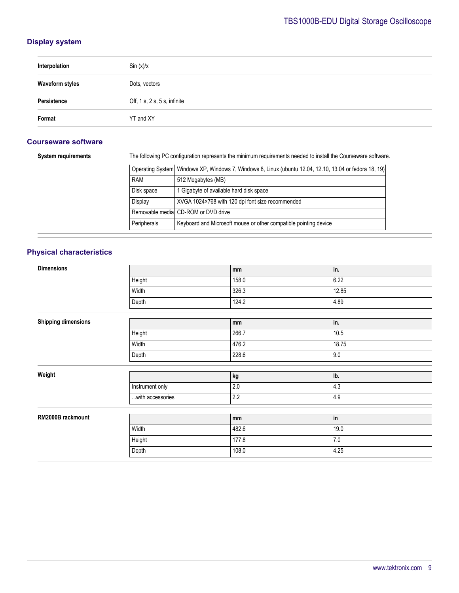## **Display system**

| Interpolation          | Sin (x)/x                             |
|------------------------|---------------------------------------|
| <b>Waveform styles</b> | Dots, vectors                         |
| Persistence            | Off, $1 s$ , $2 s$ , $5 s$ , infinite |
| Format                 | YT and XY                             |

### **Courseware software**

**System requirements** The following PC configuration represents the minimum requirements needed to install the Courseware software.

|             | Operating System   Windows XP, Windows 7, Windows 8, Linux (ubuntu 12.04, 12.10, 13.04 or fedora 18, 19) |
|-------------|----------------------------------------------------------------------------------------------------------|
| <b>RAM</b>  | 512 Megabytes (MB)                                                                                       |
| Disk space  | 1 Gigabyte of available hard disk space                                                                  |
| Display     | XVGA 1024×768 with 120 dpi font size recommended                                                         |
|             | Removable medial CD-ROM or DVD drive                                                                     |
| Peripherals | Keyboard and Microsoft mouse or other compatible pointing device                                         |

## **Physical characteristics**

| <b>Dimensions</b>          |                  | mm      | in.   |
|----------------------------|------------------|---------|-------|
|                            | Height           | 158.0   | 6.22  |
|                            | Width            | 326.3   | 12.85 |
|                            | Depth            | 124.2   | 4.89  |
|                            |                  |         |       |
| <b>Shipping dimensions</b> |                  | mm      | in.   |
|                            | Height           | 266.7   | 10.5  |
|                            | Width            | 476.2   | 18.75 |
|                            | Depth            | 228.6   | 9.0   |
|                            |                  |         |       |
| Weight                     |                  | kg      | lb.   |
|                            | Instrument only  | $2.0\,$ | 4.3   |
|                            | with accessories | $2.2\,$ | 4.9   |
|                            |                  |         |       |
| RM2000B rackmount          |                  | mm      | in    |
|                            | Width            | 482.6   | 19.0  |
|                            | Height           | 177.8   | $7.0$ |
|                            | Depth            | 108.0   | 4.25  |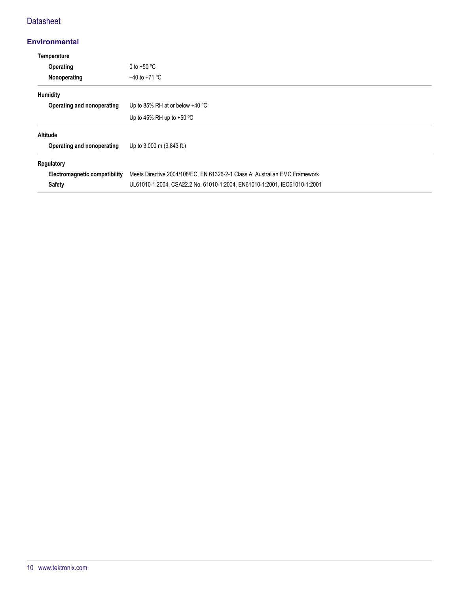## **Datasheet**

## **Environmental**

| Temperature                   |                                                                             |
|-------------------------------|-----------------------------------------------------------------------------|
| Operating                     | 0 to +50 $^{\circ}$ C                                                       |
| Nonoperating                  | $-40$ to +71 °C                                                             |
| Humidity                      |                                                                             |
| Operating and nonoperating    | Up to 85% RH at or below $+40$ °C                                           |
|                               | Up to 45% RH up to $+50$ °C                                                 |
| Altitude                      |                                                                             |
| Operating and nonoperating    | Up to 3,000 m (9,843 ft.)                                                   |
| Regulatory                    |                                                                             |
| Electromagnetic compatibility | Meets Directive 2004/108/EC, EN 61326-2-1 Class A; Australian EMC Framework |
| <b>Safety</b>                 | UL61010-1:2004, CSA22.2 No. 61010-1:2004, EN61010-1:2001, IEC61010-1:2001   |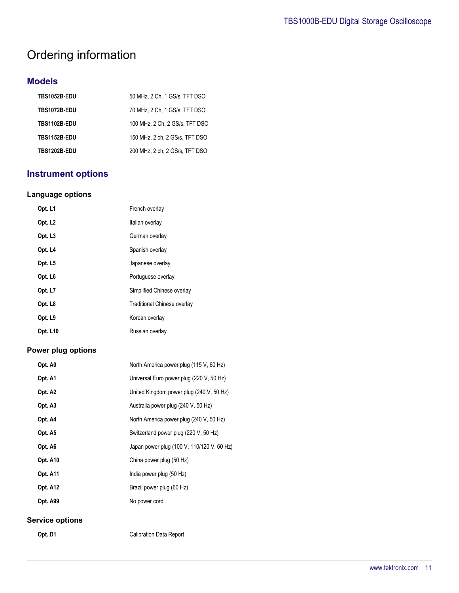# Ordering information

## **Models**

| TBS1052B-EDU | 50 MHz, 2 Ch, 1 GS/s, TFT DSO  |
|--------------|--------------------------------|
| TBS1072B-EDU | 70 MHz, 2 Ch, 1 GS/s, TFT DSO  |
| TBS1102B-EDU | 100 MHz, 2 Ch, 2 GS/s, TFT DSO |
| TBS1152B-EDU | 150 MHz, 2 ch, 2 GS/s, TFT DSO |
| TBS1202B-EDU | 200 MHz, 2 ch, 2 GS/s, TFT DSO |

# **Instrument options**

## **Language options**

| Opt. L1             | French overlay                     |
|---------------------|------------------------------------|
| Opt. L <sub>2</sub> | Italian overlay                    |
| Opt. L <sub>3</sub> | German overlay                     |
| Opt. L4             | Spanish overlay                    |
| Opt. L5             | Japanese overlay                   |
| Opt. L <sub>6</sub> | Portuguese overlay                 |
| Opt. L7             | Simplified Chinese overlay         |
| Opt. L8             | <b>Traditional Chinese overlay</b> |
| Opt. L9             | Korean overlay                     |
| <b>Opt. L10</b>     | Russian overlay                    |

### **Power plug options**

| Opt. A0                | North America power plug (115 V, 60 Hz)    |
|------------------------|--------------------------------------------|
| Opt. A1                | Universal Euro power plug (220 V, 50 Hz)   |
| Opt. A2                | United Kingdom power plug (240 V, 50 Hz)   |
| Opt. A3                | Australia power plug (240 V, 50 Hz)        |
| Opt. A4                | North America power plug (240 V, 50 Hz)    |
| Opt. A5                | Switzerland power plug (220 V, 50 Hz)      |
| Opt. A6                | Japan power plug (100 V, 110/120 V, 60 Hz) |
| Opt. A10               | China power plug (50 Hz)                   |
| <b>Opt. A11</b>        | India power plug (50 Hz)                   |
| <b>Opt. A12</b>        | Brazil power plug (60 Hz)                  |
| <b>Opt. A99</b>        | No power cord                              |
| <b>Service options</b> |                                            |

**Opt. D1** Calibration Data Report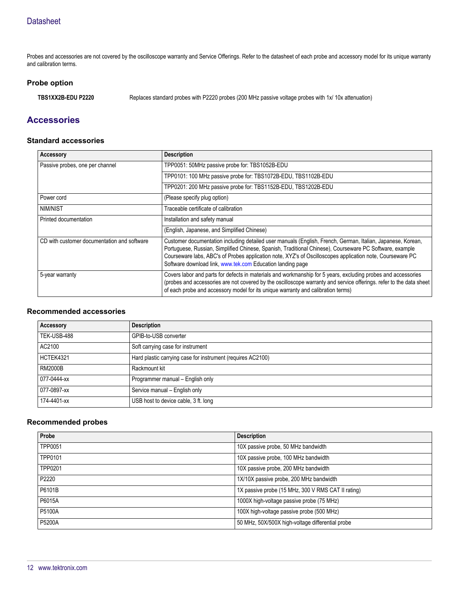Probes and accessories are not covered by the oscilloscope warranty and Service Offerings. Refer to the datasheet of each probe and accessory model for its unique warranty and calibration terms.

#### **Probe option**

**TBS1XX2B-EDU P2220** Replaces standard probes with P2220 probes (200 MHz passive voltage probes with 1x/ 10x attenuation)

## **Accessories**

#### **Standard accessories**

| <b>Accessory</b>                            | <b>Description</b>                                                                                                                                                                                                                                                                                                                                                                                |
|---------------------------------------------|---------------------------------------------------------------------------------------------------------------------------------------------------------------------------------------------------------------------------------------------------------------------------------------------------------------------------------------------------------------------------------------------------|
| Passive probes, one per channel             | TPP0051: 50MHz passive probe for: TBS1052B-EDU                                                                                                                                                                                                                                                                                                                                                    |
|                                             | TPP0101: 100 MHz passive probe for: TBS1072B-EDU, TBS1102B-EDU                                                                                                                                                                                                                                                                                                                                    |
|                                             | TPP0201: 200 MHz passive probe for: TBS1152B-EDU, TBS1202B-EDU                                                                                                                                                                                                                                                                                                                                    |
| Power cord                                  | (Please specify plug option)                                                                                                                                                                                                                                                                                                                                                                      |
| NIM/NIST                                    | Traceable certificate of calibration                                                                                                                                                                                                                                                                                                                                                              |
| Printed documentation                       | Installation and safety manual                                                                                                                                                                                                                                                                                                                                                                    |
|                                             | (English, Japanese, and Simplified Chinese)                                                                                                                                                                                                                                                                                                                                                       |
| CD with customer documentation and software | Customer documentation including detailed user manuals (English, French, German, Italian, Japanese, Korean,<br>Portuguese, Russian, Simplified Chinese, Spanish, Traditional Chinese), Courseware PC Software, example<br>Courseware labs, ABC's of Probes application note, XYZ's of Oscilloscopes application note, Courseware PC<br>Software download link, www.tek.com Education landing page |
| 5-year warranty                             | Covers labor and parts for defects in materials and workmanship for 5 years, excluding probes and accessories<br>(probes and accessories are not covered by the oscilloscope warranty and service offerings. refer to the data sheet<br>of each probe and accessory model for its unique warranty and calibration terms)                                                                          |

### **Recommended accessories**

| <b>Accessory</b> | <b>Description</b>                                          |
|------------------|-------------------------------------------------------------|
| TEK-USB-488      | GPIB-to-USB converter                                       |
| AC2100           | Soft carrying case for instrument                           |
| HCTEK4321        | Hard plastic carrying case for instrument (requires AC2100) |
| <b>RM2000B</b>   | Rackmount kit                                               |
| 077-0444-xx      | Programmer manual - English only                            |
| 077-0897-xx      | Service manual - English only                               |
| 174-4401-xx      | USB host to device cable, 3 ft. long                        |

### **Recommended probes**

| Probe   | <b>Description</b>                                 |
|---------|----------------------------------------------------|
| TPP0051 | 10X passive probe, 50 MHz bandwidth                |
| TPP0101 | 10X passive probe, 100 MHz bandwidth               |
| TPP0201 | 10X passive probe, 200 MHz bandwidth               |
| P2220   | 1X/10X passive probe, 200 MHz bandwidth            |
| P6101B  | 1X passive probe (15 MHz, 300 V RMS CAT II rating) |
| P6015A  | 1000X high-voltage passive probe (75 MHz)          |
| P5100A  | 100X high-voltage passive probe (500 MHz)          |
| P5200A  | 50 MHz, 50X/500X high-voltage differential probe   |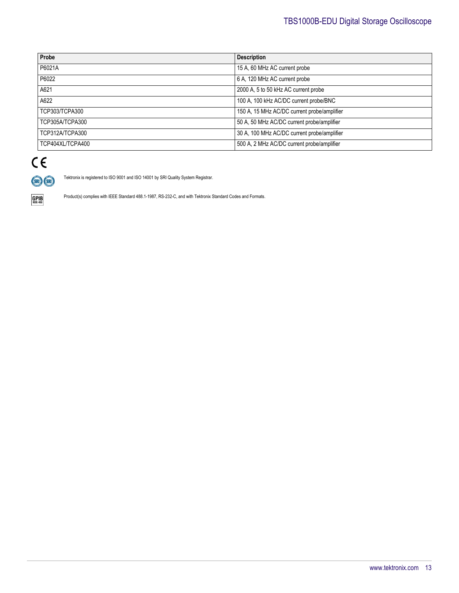| Probe            | <b>Description</b>                          |
|------------------|---------------------------------------------|
| P6021A           | 15 A, 60 MHz AC current probe               |
| P6022            | 6 A, 120 MHz AC current probe               |
| A621             | 2000 A, 5 to 50 kHz AC current probe        |
| A622             | 100 A, 100 kHz AC/DC current probe/BNC      |
| TCP303/TCPA300   | 150 A, 15 MHz AC/DC current probe/amplifier |
| TCP305A/TCPA300  | 50 A, 50 MHz AC/DC current probe/amplifier  |
| TCP312A/TCPA300  | 30 A, 100 MHz AC/DC current probe/amplifier |
| TCP404XL/TCPA400 | 500 A, 2 MHz AC/DC current probe/amplifier  |

# $C \in$ (SRI) (SRI)

Tektronix is registered to ISO 9001 and ISO 14001 by SRI Quality System Registrar.



Product(s) complies with IEEE Standard 488.1-1987, RS-232-C, and with Tektronix Standard Codes and Formats.